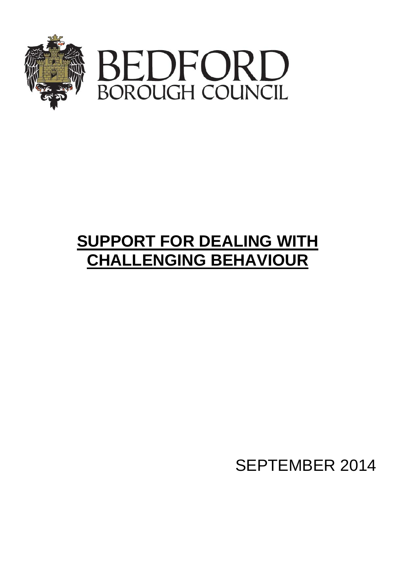



# **SUPPORT FOR DEALING WITH CHALLENGING BEHAVIOUR**

SEPTEMBER 2014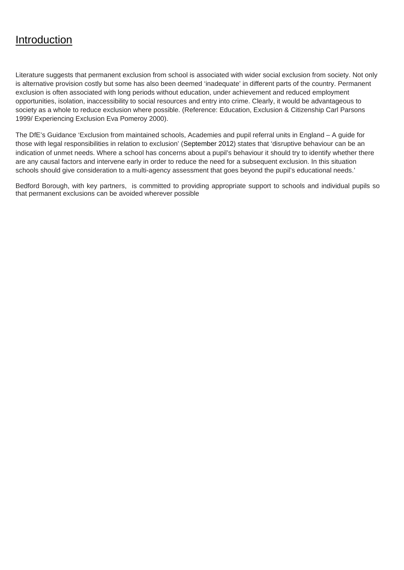## **Introduction**

Literature suggests that permanent exclusion from school is associated with wider social exclusion from society. Not only is alternative provision costly but some has also been deemed 'inadequate' in different parts of the country. Permanent exclusion is often associated with long periods without education, under achievement and reduced employment opportunities, isolation, inaccessibility to social resources and entry into crime. Clearly, it would be advantageous to society as a whole to reduce exclusion where possible. (Reference: Education, Exclusion & Citizenship Carl Parsons 1999/ Experiencing Exclusion Eva Pomeroy 2000).

The DfE's Guidance 'Exclusion from maintained schools, Academies and pupil referral units in England – A guide for those with legal responsibilities in relation to exclusion' (September 2012) states that 'disruptive behaviour can be an indication of unmet needs. Where a school has concerns about a pupil's behaviour it should try to identify whether there are any causal factors and intervene early in order to reduce the need for a subsequent exclusion. In this situation schools should give consideration to a multi-agency assessment that goes beyond the pupil's educational needs.'

Bedford Borough, with key partners, is committed to providing appropriate support to schools and individual pupils so that permanent exclusions can be avoided wherever possible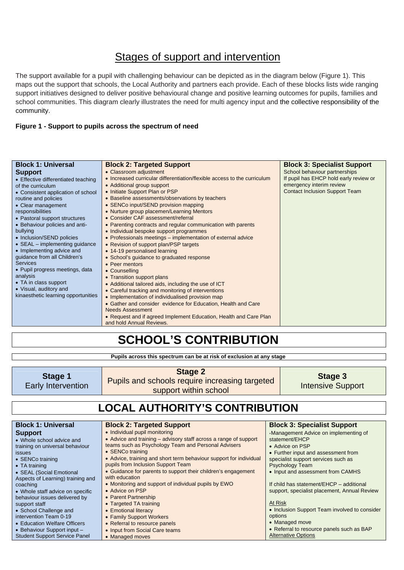## **Stages of support and intervention**

The support available for a pupil with challenging behaviour can be depicted as in the diagram below (Figure 1). This maps out the support that schools, the Local Authority and partners each provide. Each of these blocks lists wide ranging support initiatives designed to deliver positive behavioural change and positive learning outcomes for pupils, families and school communities. This diagram clearly illustrates the need for multi agency input and the collective responsibility of the community.

#### **Figure 1 - Support to pupils across the spectrum of need**

| <b>Block 1: Universal</b>              | <b>Block 2: Targeted Support</b>                                         | <b>Block 3: Specialist Support</b>     |
|----------------------------------------|--------------------------------------------------------------------------|----------------------------------------|
| <b>Support</b>                         | • Classroom adjustment                                                   | School behaviour partnerships          |
| • Effective differentiated teaching    | • Increased curricular differentiation/flexible access to the curriculum | If pupil has EHCP hold early review or |
| of the curriculum                      | • Additional group support                                               | emergency interim review               |
| • Consistent application of school     | • Initiate Support Plan or PSP                                           | <b>Contact Inclusion Support Team</b>  |
| routine and policies                   | • Baseline assessments/observations by teachers                          |                                        |
| • Clear management                     | • SENCo input/SEND provision mapping                                     |                                        |
| responsibilities                       | • Nurture group placemen/Learning Mentors                                |                                        |
| • Pastoral support structures          | • Consider CAF assessment/referral                                       |                                        |
| • Behaviour policies and anti-         | • Parenting contracts and regular communication with parents             |                                        |
| bullying                               | • Individual bespoke support programmes                                  |                                        |
| • Inclusion/SEND policies              | • Professionals meetings – implementation of external advice             |                                        |
| $\bullet$ SEAL – implementing guidance | • Revision of support plan/PSP targets                                   |                                        |
| • Implementing advice and              | • 14-19 personalised learning                                            |                                        |
| guidance from all Children's           | • School's guidance to graduated response                                |                                        |
| <b>Services</b>                        | • Peer mentors                                                           |                                        |
| • Pupil progress meetings, data        | • Counselling                                                            |                                        |
| analysis                               | • Transition support plans                                               |                                        |
| • TA in class support                  | • Additional tailored aids, including the use of ICT                     |                                        |
| • Visual, auditory and                 | • Careful tracking and monitoring of interventions                       |                                        |
| kinaesthetic learning opportunities    | • Implementation of individualised provision map                         |                                        |
|                                        | • Gather and consider evidence for Education, Health and Care            |                                        |
|                                        | <b>Needs Assessment</b>                                                  |                                        |
|                                        | • Request and if agreed Implement Education, Health and Care Plan        |                                        |
|                                        | and hold Annual Reviews.                                                 |                                        |

## **SCHOOL'S CONTRIBUTION**

**Pupils across this spectrum can be at risk of exclusion at any stage** 

| Stage 1<br><b>Early Intervention</b>                                                                                                                                                                                                                                                                                                                                                                                                                        | <b>Stage 2</b><br>Pupils and schools require increasing targeted<br>support within school                                                                                                                                                                                                                                                                                                                                                                                                                                                                                                                                                          |                    | Stage 3<br><b>Intensive Support</b>                                                                                                                                                                                                                                                                                                                                                                                                                               |  |  |
|-------------------------------------------------------------------------------------------------------------------------------------------------------------------------------------------------------------------------------------------------------------------------------------------------------------------------------------------------------------------------------------------------------------------------------------------------------------|----------------------------------------------------------------------------------------------------------------------------------------------------------------------------------------------------------------------------------------------------------------------------------------------------------------------------------------------------------------------------------------------------------------------------------------------------------------------------------------------------------------------------------------------------------------------------------------------------------------------------------------------------|--------------------|-------------------------------------------------------------------------------------------------------------------------------------------------------------------------------------------------------------------------------------------------------------------------------------------------------------------------------------------------------------------------------------------------------------------------------------------------------------------|--|--|
| <b>LOCAL AUTHORITY'S CONTRIBUTION</b>                                                                                                                                                                                                                                                                                                                                                                                                                       |                                                                                                                                                                                                                                                                                                                                                                                                                                                                                                                                                                                                                                                    |                    |                                                                                                                                                                                                                                                                                                                                                                                                                                                                   |  |  |
| <b>Block 1: Universal</b>                                                                                                                                                                                                                                                                                                                                                                                                                                   | <b>Block 2: Targeted Support</b>                                                                                                                                                                                                                                                                                                                                                                                                                                                                                                                                                                                                                   |                    | <b>Block 3: Specialist Support</b>                                                                                                                                                                                                                                                                                                                                                                                                                                |  |  |
| <b>Support</b><br>• Whole school advice and<br>training on universal behaviour<br>issues<br>• SENCo training<br>• TA training<br>• SEAL (Social Emotional<br>Aspects of Learning) training and<br>coaching<br>• Whole staff advice on specific<br>behaviour issues delivered by<br>support staff<br>• School Challenge and<br>intervention Team 0-19<br>• Education Welfare Officers<br>• Behaviour Support input -<br><b>Student Support Service Panel</b> | • Individual pupil monitoring<br>• Advice and training – advisory staff across a range of support<br>teams such as Psychology Team and Personal Advisers<br>• SENCo training<br>• Advice, training and short term behaviour support for individual<br>pupils from Inclusion Support Team<br>• Guidance for parents to support their children's engagement<br>with education<br>. Monitoring and support of individual pupils by EWO<br>• Advice on PSP<br>• Parent Partnership<br>• Targeted TA training<br>• Emotional literacy<br>• Family Support Workers<br>• Referral to resource panels<br>• Input from Social Care teams<br>• Managed moves | At Risk<br>options | •Management Advice on implementing of<br>statement/EHCP<br>• Advice on PSP<br>• Further input and assessment from<br>specialist support services such as<br><b>Psychology Team</b><br>• Input and assessment from CAMHS<br>If child has statement/EHCP - additional<br>support, specialist placement, Annual Review<br>• Inclusion Support Team involved to consider<br>• Managed move<br>• Referral to resource panels such as BAP<br><b>Alternative Options</b> |  |  |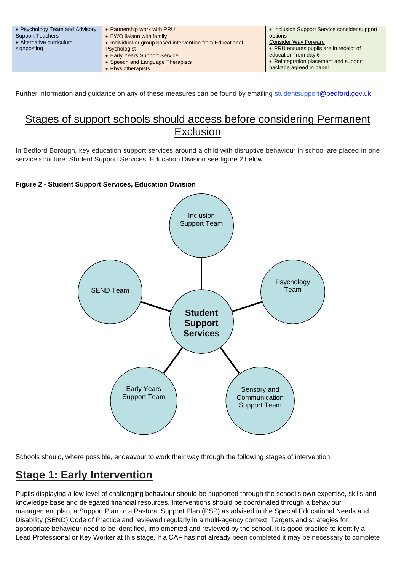| • Psychology Team and Advisory<br><b>Support Teachers</b><br>• Alternative curriculum<br>signposting | • Partnership work with PRU<br>• EWO liaison with family<br>• Individual or group based intervention from Educational<br>Psychologist | • Inclusion Support Service consider support<br>options<br><b>Consider Way Forward</b><br>• PRU ensures pupils are in receipt of |
|------------------------------------------------------------------------------------------------------|---------------------------------------------------------------------------------------------------------------------------------------|----------------------------------------------------------------------------------------------------------------------------------|
|                                                                                                      | • Early Years Support Service<br>• Speech and Language Therapists<br>• Physiotherapists                                               | education from day 6<br>• Reintegration placement and support<br>package agreed in panel                                         |
|                                                                                                      |                                                                                                                                       |                                                                                                                                  |

Further information and guidance on any of these measures can be found by emailing studentsuppor[t@bedford.gov.uk](mailto:@bedford.gov.uk)

## Stages of support schools should access before considering Permanent Exclusion

In Bedford Borough, key education support services around a child with disruptive behaviour in school are placed in one service structure: Student Support Services, Education Division see figure 2 below.

#### **Figure 2 - Student Support Services, Education Division**



Schools should, where possible, endeavour to work their way through the following stages of intervention:

## **Stage 1: Early Intervention**

Pupils displaying a low level of challenging behaviour should be supported through the school's own expertise, skills and knowledge base and delegated financial resources. Interventions should be coordinated through a behaviour management plan, a Support Plan or a Pastoral Support Plan (PSP) as advised in the Special Educational Needs and Disability (SEND) Code of Practice and reviewed regularly in a multi-agency context. Targets and strategies for appropriate behaviour need to be identified, implemented and reviewed by the school. It is good practice to identify a Lead Professional or Key Worker at this stage. If a CAF has not already been completed it may be necessary to complete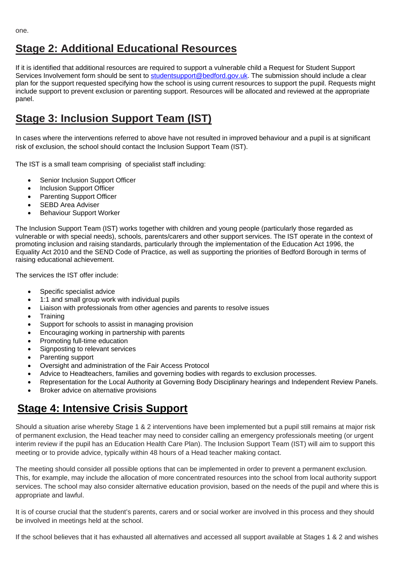## **Stage 2: Additional Educational Resources**

If it is identified that additional resources are required to support a vulnerable child a Request for Student Support Services Involvement form should be sent to [studentsupport@bedford.gov.uk.](mailto:studentsupport@bedford.gov.uk) The submission should include a clear plan for the support requested specifying how the school is using current resources to support the pupil. Requests might include support to prevent exclusion or parenting support. Resources will be allocated and reviewed at the appropriate panel.

## **Stage 3: Inclusion Support Team (IST)**

In cases where the interventions referred to above have not resulted in improved behaviour and a pupil is at significant risk of exclusion, the school should contact the Inclusion Support Team (IST).

The IST is a small team comprising of specialist staff including:

- Senior Inclusion Support Officer
- Inclusion Support Officer
- Parenting Support Officer
- SEBD Area Adviser
- **•** Behaviour Support Worker

The Inclusion Support Team (IST) works together with children and young people (particularly those regarded as vulnerable or with special needs), schools, parents/carers and other support services. The IST operate in the context of promoting inclusion and raising standards, particularly through the implementation of the Education Act 1996, the Equality Act 2010 and the SEND Code of Practice, as well as supporting the priorities of Bedford Borough in terms of raising educational achievement.

The services the IST offer include:

- Specific specialist advice
- 1:1 and small group work with individual pupils
- Liaison with professionals from other agencies and parents to resolve issues
- Training
- Support for schools to assist in managing provision
- Encouraging working in partnership with parents
- Promoting full-time education
- Signposting to relevant services
- Parenting support
- Oversight and administration of the Fair Access Protocol
- Advice to Headteachers, families and governing bodies with regards to exclusion processes.
- Representation for the Local Authority at Governing Body Disciplinary hearings and Independent Review Panels.
- Broker advice on alternative provisions

## **Stage 4: Intensive Crisis Support**

Should a situation arise whereby Stage 1 & 2 interventions have been implemented but a pupil still remains at major risk of permanent exclusion, the Head teacher may need to consider calling an emergency professionals meeting (or urgent interim review if the pupil has an Education Health Care Plan). The Inclusion Support Team (IST) will aim to support this meeting or to provide advice, typically within 48 hours of a Head teacher making contact.

The meeting should consider all possible options that can be implemented in order to prevent a permanent exclusion. This, for example, may include the allocation of more concentrated resources into the school from local authority support services. The school may also consider alternative education provision, based on the needs of the pupil and where this is appropriate and lawful.

It is of course crucial that the student's parents, carers and or social worker are involved in this process and they should be involved in meetings held at the school.

If the school believes that it has exhausted all alternatives and accessed all support available at Stages 1 & 2 and wishes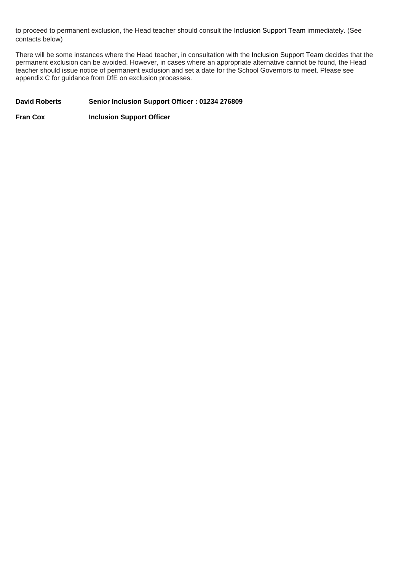to proceed to permanent exclusion, the Head teacher should consult the Inclusion Support Team immediately. (See contacts below)

There will be some instances where the Head teacher, in consultation with the Inclusion Support Team decides that the permanent exclusion can be avoided. However, in cases where an appropriate alternative cannot be found, the Head teacher should issue notice of permanent exclusion and set a date for the School Governors to meet. Please see appendix C for guidance from DfE on exclusion processes.

#### David Roberts Senior Inclusion Support Officer : 01234 276809

**Fran Cox Inclusion Support Officer**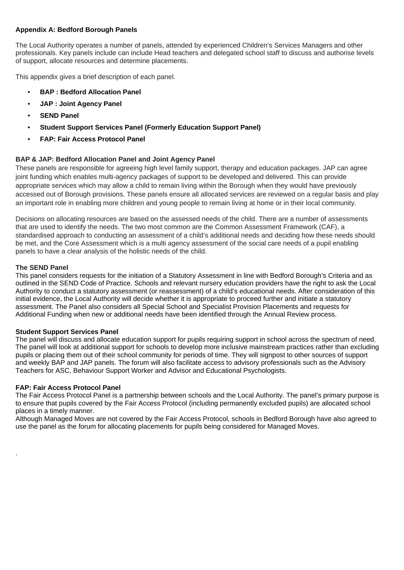#### **Appendix A: Bedford Borough Panels**

The Local Authority operates a number of panels, attended by experienced Children's Services Managers and other professionals. Key panels include can include Head teachers and delegated school staff to discuss and authorise levels of support, allocate resources and determine placements.

This appendix gives a brief description of each panel.

- **BAP : Bedford Allocation Panel**
- **JAP : Joint Agency Panel**
- **SEND Panel**
- **Student Support Services Panel (Formerly Education Support Panel)**
- **FAP: Fair Access Protocol Panel**

#### **BAP & JAP: Bedford Allocation Panel and Joint Agency Panel**

These panels are responsible for agreeing high level family support, therapy and education packages. JAP can agree joint funding which enables multi-agency packages of support to be developed and delivered. This can provide appropriate services which may allow a child to remain living within the Borough when they would have previously accessed out of Borough provisions. These panels ensure all allocated services are reviewed on a regular basis and play an important role in enabling more children and young people to remain living at home or in their local community.

Decisions on allocating resources are based on the assessed needs of the child. There are a number of assessments that are used to identify the needs. The two most common are the Common Assessment Framework (CAF), a standardised approach to conducting an assessment of a child's additional needs and deciding how these needs should be met, and the Core Assessment which is a multi agency assessment of the social care needs of a pupil enabling panels to have a clear analysis of the holistic needs of the child.

#### **The SEND Panel**

.

This panel considers requests for the initiation of a Statutory Assessment in line with Bedford Borough's Criteria and as outlined in the SEND Code of Practice. Schools and relevant nursery education providers have the right to ask the Local Authority to conduct a statutory assessment (or reassessment) of a child's educational needs. After consideration of this initial evidence, the Local Authority will decide whether it is appropriate to proceed further and initiate a statutory assessment. The Panel also considers all Special School and Specialist Provision Placements and requests for Additional Funding when new or additional needs have been identified through the Annual Review process.

#### **Student Support Services Panel**

The panel will discuss and allocate education support for pupils requiring support in school across the spectrum of need. The panel will look at additional support for schools to develop more inclusive mainstream practices rather than excluding pupils or placing them out of their school community for periods of time. They will signpost to other sources of support and weekly BAP and JAP panels. The forum will also facilitate access to advisory professionals such as the Advisory Teachers for ASC, Behaviour Support Worker and Advisor and Educational Psychologists.

#### **FAP: Fair Access Protocol Panel**

The Fair Access Protocol Panel is a partnership between schools and the Local Authority. The panel's primary purpose is to ensure that pupils covered by the Fair Access Protocol (including permanently excluded pupils) are allocated school places in a timely manner.

Although Managed Moves are not covered by the Fair Access Protocol, schools in Bedford Borough have also agreed to use the panel as the forum for allocating placements for pupils being considered for Managed Moves.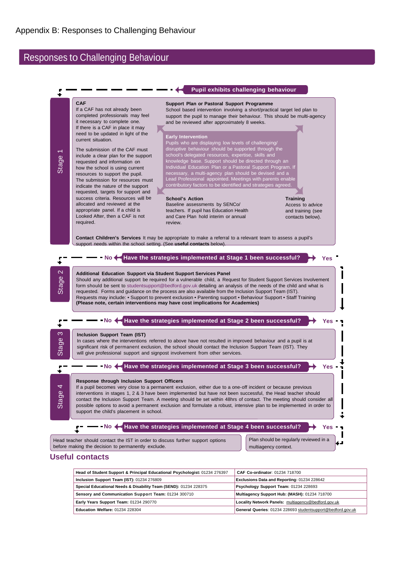### Responses to Challenging Behaviour



#### **Useful contacts**

| Head of Student Support & Principal Educational Psychologist: 01234 276397 | CAF Co-ordinator: 01234 718700                              |  |  |
|----------------------------------------------------------------------------|-------------------------------------------------------------|--|--|
| Inclusion Support Team (IST): 01234 276809                                 | Exclusions Data and Reporting: 01234 228642                 |  |  |
| Special Educational Needs & Disability Team (SEND): 01234 228375           | Psychology Support Team: 01234 228693                       |  |  |
| Sensory and Communication Support Team: 01234 300710                       | Multiagency Support Hub: (MASH): 01234 718700               |  |  |
| Early Years Support Team: 01234 290770                                     | Locality Network Panels: multiagency@bedford.gov.uk         |  |  |
| <b>Education Welfare: 01234 228304</b>                                     | General Queries: 01234 228693 studentsupport@bedford.gov.uk |  |  |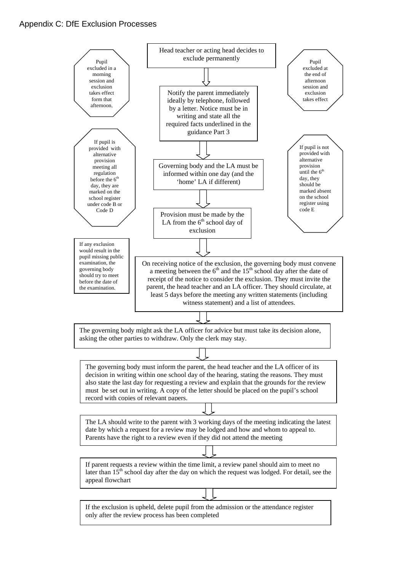#### Appendix C: DfE Exclusion Processes

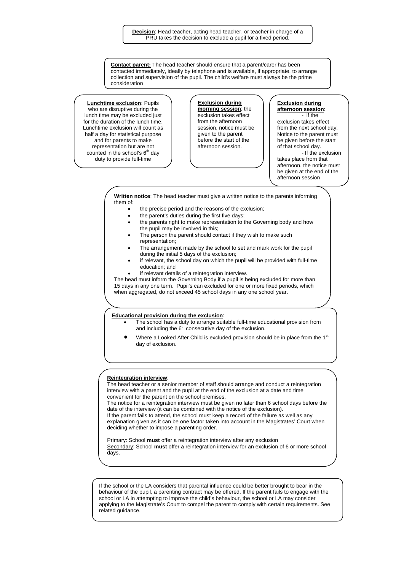**Contact parent:** The head teacher should ensure that a parent/carer has been contacted immediately, ideally by telephone and is available, if appropriate, to arrange collection and supervision of the pupil. The child's welfare must always be the prime consideration

**Lunchtime exclusion**: Pupils who are disruptive during the lunch time may be excluded just for the duration of the lunch time. Lunchtime exclusion will count as half a day for statistical purpose and for parents to make representation but are not counted in the school's  $6<sup>th</sup>$  day duty to provide full-time

**Exclusion during morning session**: the exclusion takes effect from the afternoon session, notice must be given to the parent before the start of the afternoon session.

#### **Exclusion during afternoon session**: - if the

exclusion takes effect from the next school day. Notice to the parent must be given before the start of that school day. - If the exclusion

takes place from that afternoon, the notice must be given at the end of the afternoon session

**Written notice**: The head teacher must give a written notice to the parents informing them of:

- the precise period and the reasons of the exclusion;
- the parent's duties during the first five days;
- the parents right to make representation to the Governing body and how the pupil may be involved in this;
- The person the parent should contact if they wish to make such representation;
- The arrangement made by the school to set and mark work for the pupil during the initial 5 days of the exclusion;
- if relevant, the school day on which the pupil will be provided with full-time education; and
- if relevant details of a reintegration interview.

The head must inform the Governing Body if a pupil is being excluded for more than 15 days in any one term. Pupil's can excluded for one or more fixed periods, which when aggregated, do not exceed 45 school days in any one school year.

#### **Educational provision during the exclusion**:

- The school has a duty to arrange suitable full-time educational provision from and including the  $6<sup>th</sup>$  consecutive day of the exclusion.
- Where a Looked After Child is excluded provision should be in place from the 1<sup>st</sup> day of exclusion.

#### **Reintegration interview**:

The head teacher or a senior member of staff should arrange and conduct a reintegration interview with a parent and the pupil at the end of the exclusion at a date and time convenient for the parent on the school premises.

The notice for a reintegration interview must be given no later than 6 school days before the date of the interview (it can be combined with the notice of the exclusion). If the parent fails to attend, the school must keep a record of the failure as well as any explanation given as it can be one factor taken into account in the Magistrates' Court when deciding whether to impose a parenting order.

Primary: School **must** offer a reintegration interview after any exclusion Secondary: School **must** offer a reintegration interview for an exclusion of 6 or more school days.

If the school or the LA considers that parental influence could be better brought to bear in the behaviour of the pupil, a parenting contract may be offered. If the parent fails to engage with the school or LA in attempting to improve the child's behaviour, the school or LA may consider applying to the Magistrate's Court to compel the parent to comply with certain requirements. See related guidance.